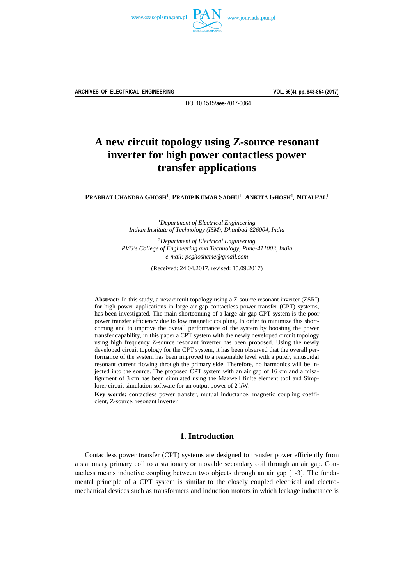



**ARCHIVES OF ELECTRICAL ENGINEERING VOL. 66(4), pp. 843-854 (2017)**

DOI 10.1515/aee-2017-0064

# **A new circuit topology using Z-source resonant inverter for high power contactless power transfer applications**

Prabhat Chandra Ghosh<sup>1</sup>, Pradip Kumar Sadhu<sup>1</sup>, Ankita Ghosh<sup>2</sup>, Nitai Pal<sup>1</sup>

<sup>1</sup>*Department of Electrical Engineering Indian Institute of Technology (ISM), Dhanbad-826004, India*

<sup>2</sup>*Department of Electrical Engineering PVG's College of Engineering and Technology, Pune-411003, India e-mail: pcghoshcme@gmail.com*

(Received: 24.04.2017, revised: 15.09.2017)

**Abstract:** In this study, a new circuit topology using a Z-source resonant inverter (ZSRI) for high power applications in large-air-gap contactless power transfer (CPT) systems, has been investigated. The main shortcoming of a large-air-gap CPT system is the poor power transfer efficiency due to low magnetic coupling. In order to minimize this shortcoming and to improve the overall performance of the system by boosting the power transfer capability, in this paper a CPT system with the newly developed circuit topology using high frequency Z-source resonant inverter has been proposed. Using the newly developed circuit topology for the CPT system, it has been observed that the overall performance of the system has been improved to a reasonable level with a purely sinusoidal resonant current flowing through the primary side. Therefore, no harmonics will be injected into the source. The proposed CPT system with an air gap of 16 cm and a misalignment of 3 cm has been simulated using the Maxwell finite element tool and Simplorer circuit simulation software for an output power of 2 kW.

**Key words:** contactless power transfer, mutual inductance, magnetic coupling coefficient, Z-source, resonant inverter

# **1. Introduction**

Contactless power transfer (CPT) systems are designed to transfer power efficiently from a stationary primary coil to a stationary or movable secondary coil through an air gap. Contactless means inductive coupling between two objects through an air gap [13]. The fundamental principle of a CPT system is similar to the closely coupled electrical and electromechanical devices such as transformers and induction motors in which leakage inductance is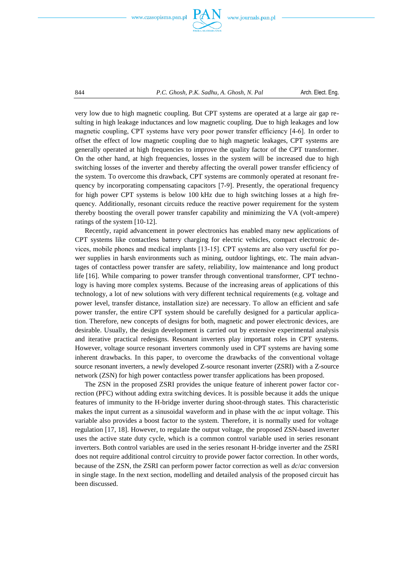



very low due to high magnetic coupling. But CPT systems are operated at a large air gap resulting in high leakage inductances and low magnetic coupling. Due to high leakages and low magnetic coupling, CPT systems have very poor power transfer efficiency [46]. In order to offset the effect of low magnetic coupling due to high magnetic leakages, CPT systems are generally operated at high frequencies to improve the quality factor of the CPT transformer. On the other hand, at high frequencies, losses in the system will be increased due to high switching losses of the inverter and thereby affecting the overall power transfer efficiency of the system. To overcome this drawback, CPT systems are commonly operated at resonant frequency by incorporating compensating capacitors [79]. Presently, the operational frequency for high power CPT systems is below 100 kHz due to high switching losses at a high frequency. Additionally, resonant circuits reduce the reactive power requirement for the system thereby boosting the overall power transfer capability and minimizing the VA (volt-ampere) ratings of the system  $[10-12]$ .

Recently, rapid advancement in power electronics has enabled many new applications of CPT systems like contactless battery charging for electric vehicles, compact electronic devices, mobile phones and medical implants [1315]. CPT systems are also very useful for power supplies in harsh environments such as mining, outdoor lightings, etc. The main advantages of contactless power transfer are safety, reliability, low maintenance and long product life [16]. While comparing to power transfer through conventional transformer, CPT technology is having more complex systems. Because of the increasing areas of applications of this technology, a lot of new solutions with very different technical requirements (e.g. voltage and power level, transfer distance, installation size) are necessary. To allow an efficient and safe power transfer, the entire CPT system should be carefully designed for a particular application. Therefore, new concepts of designs for both, magnetic and power electronic devices, are desirable. Usually, the design development is carried out by extensive experimental analysis and iterative practical redesigns. Resonant inverters play important roles in CPT systems. However, voltage source resonant inverters commonly used in CPT systems are having some inherent drawbacks. In this paper, to overcome the drawbacks of the conventional voltage source resonant inverters, a newly developed Z-source resonant inverter (ZSRI) with a Z-source network (ZSN) for high power contactless power transfer applications has been proposed.

The ZSN in the proposed ZSRI provides the unique feature of inherent power factor correction (PFC) without adding extra switching devices. It is possible because it adds the unique features of immunity to the H-bridge inverter during shoot-through states. This characteristic makes the input current as a sinusoidal waveform and in phase with the *ac* input voltage. This variable also provides a boost factor to the system. Therefore, it is normally used for voltage regulation [17, 18]. However, to regulate the output voltage, the proposed ZSN-based inverter uses the active state duty cycle, which is a common control variable used in series resonant inverters. Both control variables are used in the series resonant H-bridge inverter and the ZSRI does not require additional control circuitry to provide power factor correction. In other words, because of the ZSN, the ZSRI can perform power factor correction as well as *dc*/*ac* conversion in single stage. In the next section, modelling and detailed analysis of the proposed circuit has been discussed.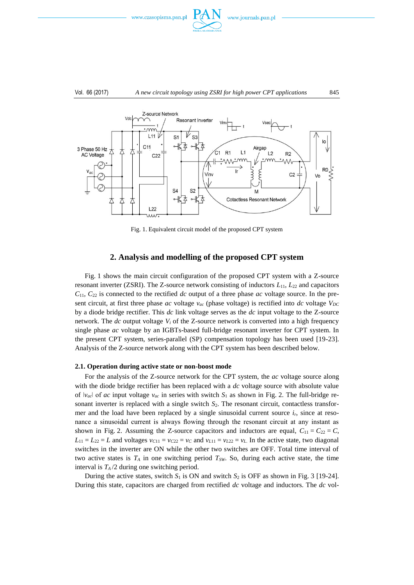

#### Vol. 66 (2017) *A new circuit topology using ZSRI for high power CPT applications* 845



Fig. 1. Equivalent circuit model of the proposed CPT system

# **2. Analysis and modelling of the proposed CPT system**

Fig. 1 shows the main circuit configuration of the proposed CPT system with a Z-source resonant inverter (ZSRI). The Z-source network consisting of inductors *L*11, *L*<sup>22</sup> and capacitors *C*11, *C*<sup>22</sup> is connected to the rectified *dc* output of a three phase *ac* voltage source. In the present circuit, at first three phase *ac* voltage  $v_{ac}$  (phase voltage) is rectified into *dc* voltage  $V_{DC}$ by a diode bridge rectifier. This *dc* link voltage serves as the *dc* input voltage to the Z-source network. The  $dc$  output voltage  $V_i$  of the Z-source network is converted into a high frequency single phase *ac* voltage by an IGBTs-based full-bridge resonant inverter for CPT system. In the present CPT system, series-parallel (SP) compensation topology has been used [19-23]. Analysis of the Z-source network along with the CPT system has been described below.

### **2.1. Operation during active state or non-boost mode**

For the analysis of the Z-source network for the CPT system, the *ac* voltage source along with the diode bridge rectifier has been replaced with a *dc* voltage source with absolute value of  $|v_{ac}|$  of *ac* input voltage  $v_{ac}$  in series with switch  $S_1$  as shown in Fig. 2. The full-bridge resonant inverter is replaced with a single switch  $S_2$ . The resonant circuit, contactless transformer and the load have been replaced by a single sinusoidal current source  $i<sub>r</sub>$ , since at resonance a sinusoidal current is always flowing through the resonant circuit at any instant as shown in Fig. 2. Assuming the Z-source capacitors and inductors are equal,  $C_{11} = C_{22} = C$ ,  $L_{11} = L_{22} = L$  and voltages  $v_{C11} = v_{C22} = v_C$  and  $v_{L11} = v_{L22} = v_L$ . In the active state, two diagonal switches in the inverter are ON while the other two switches are OFF. Total time interval of two active states is *T<sup>A</sup>* in one switching period *TSW*. So, during each active state, the time interval is  $T_A/2$  during one switching period.

During the active states, switch  $S_1$  is ON and switch  $S_2$  is OFF as shown in Fig. 3 [19-24]. During this state, capacitors are charged from rectified *dc* voltage and inductors. The *dc* vol-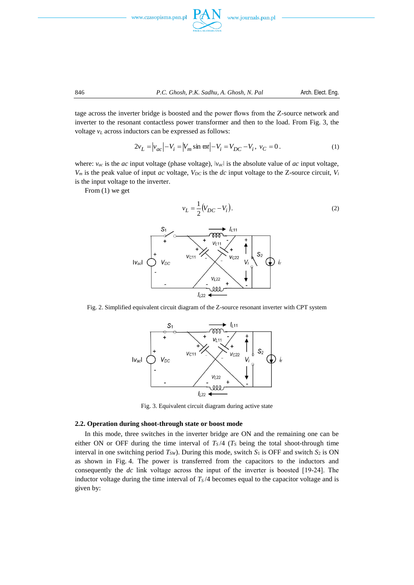



tage across the inverter bridge is boosted and the power flows from the Z-source network and inverter to the resonant contactless power transformer and then to the load. From Fig. 3, the voltage *v<sup>L</sup>* across inductors can be expressed as follows:

$$
2v_L = |v_{ac}| - V_i = |V_m \sin \omega t| - V_i = V_{DC} - V_i, \ v_C = 0.
$$
 (1)

where:  $v_{ac}$  is the *ac* input voltage (phase voltage),  $|v_{ac}|$  is the absolute value of *ac* input voltage,  $V_m$  is the peak value of input *ac* voltage,  $V_{DC}$  is the *dc* input voltage to the Z-source circuit,  $V_i$ is the input voltage to the inverter.

From (1) we get



Fig. 2. Simplified equivalent circuit diagram of the Z-source resonant inverter with CPT system



Fig. 3. Equivalent circuit diagram during active state

#### **2.2. Operation during shoot-through state or boost mode**

In this mode, three switches in the inverter bridge are ON and the remaining one can be either ON or OFF during the time interval of  $T<sub>S</sub>/4$  ( $T<sub>S</sub>$  being the total shoot-through time interval in one switching period  $T_{SW}$ ). During this mode, switch  $S_1$  is OFF and switch  $S_2$  is ON as shown in Fig. 4. The power is transferred from the capacitors to the inductors and consequently the *dc* link voltage across the input of the inverter is boosted [19-24]. The inductor voltage during the time interval of  $T<sub>S</sub>/4$  becomes equal to the capacitor voltage and is given by: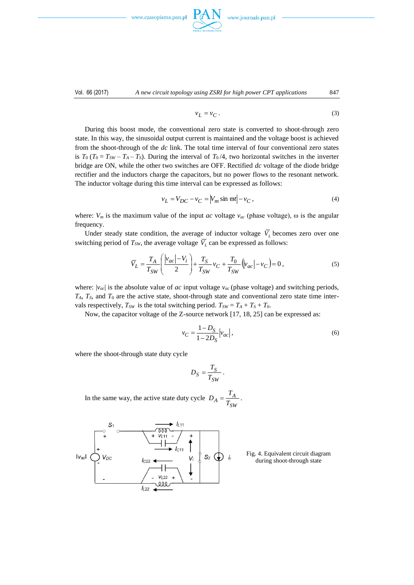www.czasopisma.pan.p



Vol. 66 (2017) *A new circuit topology using ZSRI for high power CPT applications* 847

$$
\overline{\phantom{m}}
$$

$$
v_L = v_C. \tag{3}
$$

During this boost mode, the conventional zero state is converted to shoot-through zero state. In this way, the sinusoidal output current is maintained and the voltage boost is achieved from the shoot-through of the *dc* link. The total time interval of four conventional zero states is  $T_0 (T_0 = T_{SW} - T_A - T_S)$ . During the interval of  $T_0/4$ , two horizontal switches in the inverter bridge are ON, while the other two switches are OFF. Rectified *dc* voltage of the diode bridge rectifier and the inductors charge the capacitors, but no power flows to the resonant network. The inductor voltage during this time interval can be expressed as follows:

$$
v_L = V_{DC} - v_C = |V_m \sin \varpi t| - v_C,
$$
\n<sup>(4)</sup>

where:  $V_m$  is the maximum value of the input *ac* voltage  $v_{ac}$  (phase voltage),  $\omega$  is the angular frequency.

Under steady state condition, the average of inductor voltage  $V<sub>L</sub>$  becomes zero over one switching period of  $T_{SW}$ , the average voltage  $V_L$  can be expressed as follows:

$$
\overline{V}_L = \frac{T_A}{T_{SW}} \left( \frac{|v_{ac}| - V_i}{2} \right) + \frac{T_S}{T_{SW}} v_C + \frac{T_0}{T_{SW}} \left( |v_{ac}| - v_C \right) = 0 \,, \tag{5}
$$

where:  $|v_{ac}|$  is the absolute value of *ac* input voltage  $v_{ac}$  (phase voltage) and switching periods, *TA*, *TS,* and *T*<sup>0</sup> are the active state, shoot-through state and conventional zero state time intervals respectively,  $T_{SW}$  is the total switching period.  $T_{SW} = T_A + T_S + T_0$ .

Now, the capacitor voltage of the Z-source network [17, 18, 25] can be expressed as:

*v*

$$
{}_{C} = \frac{1 - D_{S}}{1 - 2D_{S}} \Big| v_{ac} \Big|, \tag{6}
$$

where the shoot-through state duty cycle

$$
D_S = \frac{T_S}{T_{SW}}.
$$

In the same way, the active state duty cycle *SW*  $A = \frac{I_A}{T_{SW}}$  $D_A = \frac{T_A}{T}$ .



Fig. 4. Equivalent circuit diagram during shoot-through state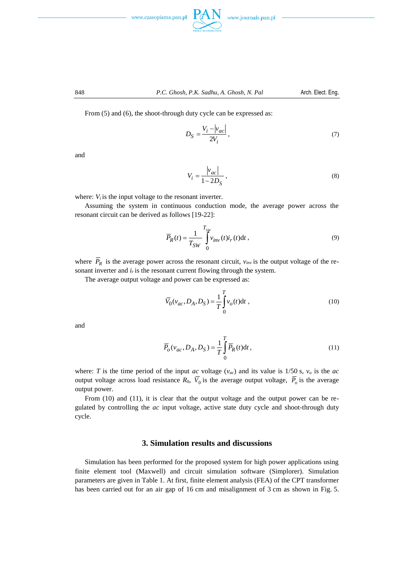





From  $(5)$  and  $(6)$ , the shoot-through duty cycle can be expressed as:

$$
D_S = \frac{V_i - |v_{ac}|}{2V_i},\tag{7}
$$

and

$$
V_i = \frac{|v_{ac}|}{1 - 2D_S},\tag{8}
$$

where:  $V_i$  is the input voltage to the resonant inverter.

Assuming the system in continuous conduction mode, the average power across the resonant circuit can be derived as follows [19-22]:

$$
\overline{P}_R(t) = \frac{1}{T_{SW}} \int_{0}^{T_{SW}} v_{inv}(t) i_r(t) dt,
$$
\n(9)

where  $P_R$  is the average power across the resonant circuit,  $v_{inv}$  is the output voltage of the resonant inverter and  $i<sub>r</sub>$  is the resonant current flowing through the system.

The average output voltage and power can be expressed as:

$$
\overline{V}_0(\nu_{ac}, D_A, D_S) = \frac{1}{T} \int_0^T v_o(t) dt,
$$
\n(10)

and

$$
\overline{P}_o(v_{ac}, D_A, D_S) = \frac{1}{T} \int_0^T \overline{P}_R(t) dt,
$$
\n(11)

where: *T* is the time period of the input *ac* voltage  $(v_{ac})$  and its value is 1/50 s,  $v_o$  is the *ac* output voltage across load resistance  $R_0$ ,  $V_0$  is the average output voltage,  $P_o$  is the average output power.

From (10) and (11), it is clear that the output voltage and the output power can be regulated by controlling the *ac* input voltage, active state duty cycle and shoot-through duty cycle.

## **3. Simulation results and discussions**

Simulation has been performed for the proposed system for high power applications using finite element tool (Maxwell) and circuit simulation software (Simplorer). Simulation parameters are given in Table 1. At first, finite element analysis (FEA) of the CPT transformer has been carried out for an air gap of 16 cm and misalignment of 3 cm as shown in Fig. 5.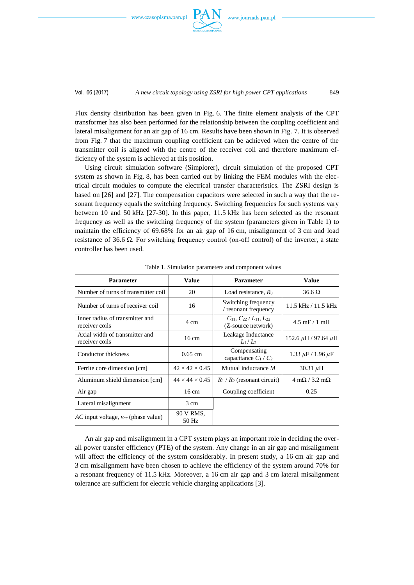www.czasopisma.pan.pl



Flux density distribution has been given in Fig. 6. The finite element analysis of the CPT transformer has also been performed for the relationship between the coupling coefficient and lateral misalignment for an air gap of 16 cm. Results have been shown in Fig. 7. It is observed from Fig. 7 that the maximum coupling coefficient can be achieved when the centre of the transmitter coil is aligned with the centre of the receiver coil and therefore maximum efficiency of the system is achieved at this position.

Using circuit simulation software (Simplorer), circuit simulation of the proposed CPT system as shown in Fig. 8, has been carried out by linking the FEM modules with the electrical circuit modules to compute the electrical transfer characteristics. The ZSRI design is based on [26] and [27]. The compensation capacitors were selected in such a way that the resonant frequency equals the switching frequency. Switching frequencies for such systems vary between 10 and 50 kHz [27-30]. In this paper, 11.5 kHz has been selected as the resonant frequency as well as the switching frequency of the system (parameters given in Table 1) to maintain the efficiency of 69.68% for an air gap of 16 cm, misalignment of 3 cm and load resistance of 36.6 Ω. For switching frequency control (on-off control) of the inverter, a state controller has been used.

| <b>Parameter</b>                                  | Value                      | <b>Parameter</b>                                                | <b>Value</b>                              |
|---------------------------------------------------|----------------------------|-----------------------------------------------------------------|-------------------------------------------|
| Number of turns of transmitter coil               | 20                         | Load resistance, $R_0$                                          | $36.6 \Omega$                             |
| Number of turns of receiver coil                  | 16                         | Switching frequency<br>/ resonant frequency                     | $11.5$ kHz $/11.5$ kHz                    |
| Inner radius of transmitter and<br>receiver coils | 4 cm                       | $C_{11}$ , $C_{22}$ / $L_{11}$ , $L_{22}$<br>(Z-source network) | $4.5$ mF $/ 1$ mH                         |
| Axial width of transmitter and<br>receiver coils  | $16 \text{ cm}$            | Leakage Inductance<br>$L_1/L_2$                                 | 152.6 $\mu$ H / 97.64 $\mu$ H             |
| Conductor thickness                               | $0.65$ cm                  | Compensating<br>capacitance $C_1 / C_2$                         | 1.33 $\mu$ F / 1.96 $\mu$ F               |
| Ferrite core dimension [cm]                       | $42 \times 42 \times 0.45$ | Mutual inductance M                                             | 30.31 $\mu$ H                             |
| Aluminum shield dimension [cm]                    | $44 \times 44 \times 0.45$ | $R_1/R_2$ (resonant circuit)                                    | $4 \text{ m}\Omega / 3.2 \text{ m}\Omega$ |
| Air gap                                           | $16 \text{ cm}$            | Coupling coefficient                                            | 0.25                                      |
| Lateral misalignment                              | 3 cm                       |                                                                 |                                           |
| AC input voltage, $v_{ac}$ (phase value)          | 90 V RMS,<br>50 Hz         |                                                                 |                                           |

Table 1. Simulation parameters and component values

An air gap and misalignment in a CPT system plays an important role in deciding the overall power transfer efficiency (PTE) of the system. Any change in an air gap and misalignment will affect the efficiency of the system considerably. In present study, a 16 cm air gap and 3 cm misalignment have been chosen to achieve the efficiency of the system around 70% for a resonant frequency of 11.5 kHz. Moreover, a 16 cm air gap and 3 cm lateral misalignment tolerance are sufficient for electric vehicle charging applications [3].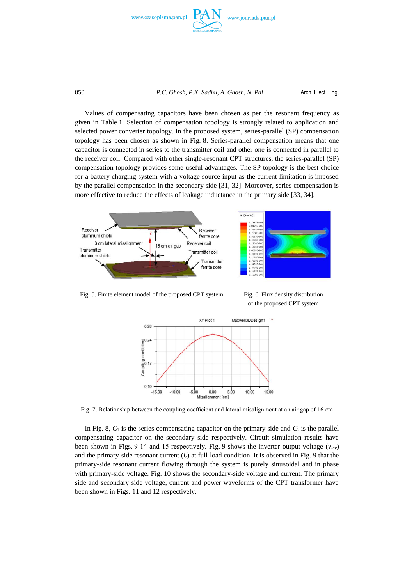

Values of compensating capacitors have been chosen as per the resonant frequency as given in Table 1. Selection of compensation topology is strongly related to application and selected power converter topology. In the proposed system, series-parallel (SP) compensation topology has been chosen as shown in Fig. 8. Series-parallel compensation means that one capacitor is connected in series to the transmitter coil and other one is connected in parallel to the receiver coil. Compared with other single-resonant CPT structures, the series-parallel (SP) compensation topology provides some useful advantages. The SP topology is the best choice for a battery charging system with a voltage source input as the current limitation is imposed by the parallel compensation in the secondary side [31, 32]. Moreover, series compensation is more effective to reduce the effects of leakage inductance in the primary side [33, 34].



Fig. 5. Finite element model of the proposed CPT system Fig. 6. Flux density distribution

of the proposed CPT system



Fig. 7. Relationship between the coupling coefficient and lateral misalignment at an air gap of 16 cm

In Fig. 8,  $C_1$  is the series compensating capacitor on the primary side and  $C_2$  is the parallel compensating capacitor on the secondary side respectively. Circuit simulation results have been shown in Figs. 9-14 and 15 respectively. Fig. 9 shows the inverter output voltage  $(v_{inv})$ and the primary-side resonant current (*ir*) at full-load condition. It is observed in Fig. 9 that the primary-side resonant current flowing through the system is purely sinusoidal and in phase with primary-side voltage. Fig. 10 shows the secondary-side voltage and current. The primary side and secondary side voltage, current and power waveforms of the CPT transformer have been shown in Figs. 11 and 12 respectively.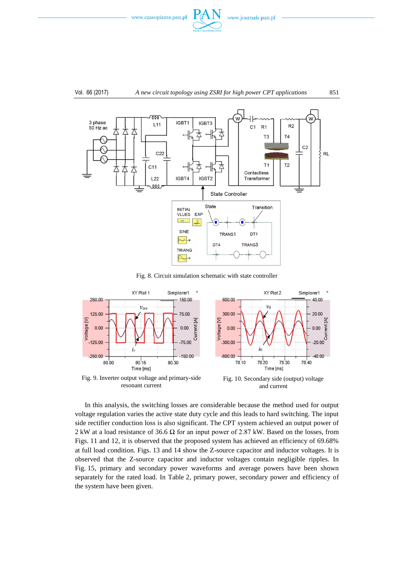



Fig. 8. Circuit simulation schematic with state controller



In this analysis, the switching losses are considerable because the method used for output voltage regulation varies the active state duty cycle and this leads to hard switching. The input side rectifier conduction loss is also significant. The CPT system achieved an output power of 2 kW at a load resistance of 36.6 Ω for an input power of 2.87 kW. Based on the losses, from Figs. 11 and 12, it is observed that the proposed system has achieved an efficiency of 69.68% at full load condition. Figs. 13 and 14 show the Z-source capacitor and inductor voltages. It is observed that the Z-source capacitor and inductor voltages contain negligible ripples. In Fig. 15, primary and secondary power waveforms and average powers have been shown separately for the rated load. In Table 2, primary power, secondary power and efficiency of the system have been given.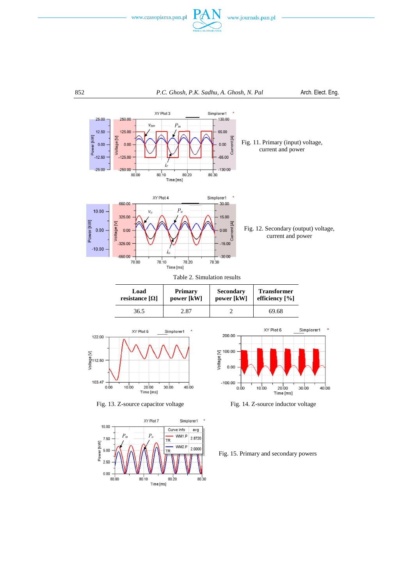



| Load                  | <b>Primary</b> | <b>Secondary</b> | <b>Transformer</b> |
|-----------------------|----------------|------------------|--------------------|
| resistance $[\Omega]$ | power [kW]     | power [kW]       | efficiency $[\%]$  |
| 36.5                  | 2.87           |                  | 69.68              |



Fig. 13. Z-source capacitor voltage Fig. 14. Z-source inductor voltage





Fig. 15. Primary and secondary powers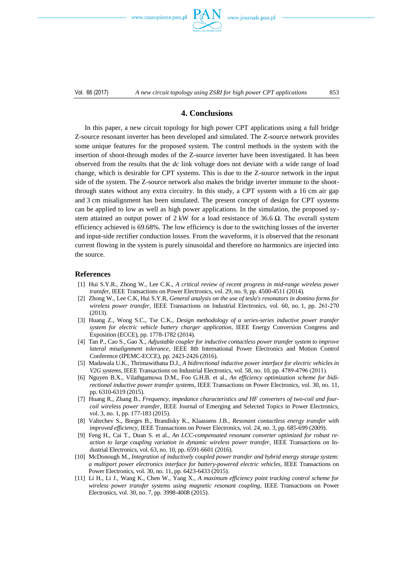www.czasopisma.pan.pl



Vol. 66 (2017) *A new circuit topology using ZSRI for high power CPT applications* 853

# **4. Conclusions**

In this paper, a new circuit topology for high power CPT applications using a full bridge Z-source resonant inverter has been developed and simulated. The Z-source network provides some unique features for the proposed system. The control methods in the system with the insertion of shoot-through modes of the Z-source inverter have been investigated. It has been observed from the results that the *dc* link voltage does not deviate with a wide range of load change, which is desirable for CPT systems. This is due to the Z-source network in the input side of the system. The Z-source network also makes the bridge inverter immune to the shootthrough states without any extra circuitry. In this study, a CPT system with a 16 cm air gap and 3 cm misalignment has been simulated. The present concept of design for CPT systems can be applied to low as well as high power applications. In the simulation, the proposed system attained an output power of 2 kW for a load resistance of 36.6  $\Omega$ . The overall system efficiency achieved is 69.68%. The low efficiency is due to the switching losses of the inverter and input-side rectifier conduction losses. From the waveforms, it is observed that the resonant current flowing in the system is purely sinusoidal and therefore no harmonics are injected into the source.

#### **References**

- [1] Hui S.Y.R., Zhong W., Lee C.K., *A critical review of recent progress in mid-range wireless power transfer*, IEEE Transactions on Power Electronics, vol. 29, no. 9, pp. 4500-4511 (2014).
- [2] Zhong W., Lee C.K, Hui S.Y.R, *General analysis on the use of tesla's resonators in domino forms for wireless power transfer*, IEEE Transactions on Industrial Electronics, vol. 60, no. 1, pp. 261-270 (2013).
- [3] Huang Z., Wong S.C., Tse C.K., *Design methodology of a series-series inductive power transfer system for electric vehicle battery charger application*, IEEE Energy Conversion Congress and Exposition (ECCE), pp. 1778-1782 (2014).
- [4] Tan P., Cao S., Gao X., *Adjustable coupler for inductive contactless power transfer system to improve lateral misalignment tolerance*, IEEE 8th International Power Electronics and Motion Control Conference (IPEMC-ECCE), pp. 2423-2426 (2016).
- [5] Madawala U.K., Thrimawithana D.J., *A bidirectional inductive power interface for electric vehicles in V2G systems*, IEEE Transactions on Industrial Electronics, vol. 58, no. 10, pp. 47894796 (2011).
- [6] Nguyen B.X., Vilathgamuwa D.M., Foo G.H.B. et al., *An efficiency optimization scheme for bidirectional inductive power transfer systems*, IEEE Transactions on Power Electronics, vol. 30, no. 11, pp. 6310-6319 (2015).
- [7] Huang R., Zhang B*.*, *Frequency, impedance characteristics and HF converters of two-coil and fourcoil wireless power transfer*, IEEE Journal of Emerging and Selected Topics in Power Electronics, vol. 3, no. 1, pp. 177-183 (2015).
- [8] Valtechev S., Borges B., Brandisky K., Klaassens J.B., *Resonant contactless energy transfer with improved efficiency*, IEEE Transactions on Power Electronics, vol. 24, no. 3, pp. 685-699 (2009).
- [9] Feng H., Cai T., Duan S. et al., *An LCC-compensated resonant converter optimized for robust reaction to large coupling variation in dynamic wireless power transfer*, IEEE Transactions on Industrial Electronics, vol. 63, no. 10, pp. 6591-6601 (2016).
- [10] McDonough M., *Integration of inductively coupled power transfer and hybrid energy storage system: a multiport power electronics interface for battery-powered electric vehicles*, IEEE Transactions on Power Electronics, vol. 30, no. 11, pp. 6423-6433 (2015).
- [11] Li H., Li J., Wang K., Chen W., Yang X., *A maximum efficiency point tracking control scheme for wireless power transfer systems using magnetic resonant coupling*, IEEE Transactions on Power Electronics, vol. 30, no. 7, pp. 3998-4008 (2015).